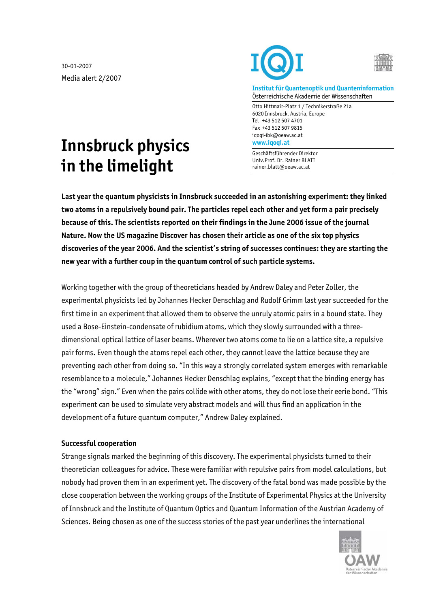30-01-2007 Media alert 2/2007





**Institut für Quantenoptik und Quanteninformation**  Österreichische Akademie der Wissenschaften

Otto Hittmair-Platz 1 / Technikerstraße 21a 6020 Innsbruck, Austria, Europe Tel +43 512 507 4701 Fax +43 512 507 9815 iqoqi-ibk@oeaw.ac.at **www.iqoqi.at** 

Geschäftsführender Direktor Univ.Prof. Dr. Rainer BLATT rainer.blatt@oeaw.ac.at

## **Innsbruck physics in the limelight**

**Last year the quantum physicists in Innsbruck succeeded in an astonishing experiment: they linked two atoms in a repulsively bound pair. The particles repel each other and yet form a pair precisely because of this. The scientists reported on their findings in the June 2006 issue of the journal Nature. Now the US magazine Discover has chosen their article as one of the six top physics discoveries of the year 2006. And the scientist's string of successes continues: they are starting the new year with a further coup in the quantum control of such particle systems.** 

Working together with the group of theoreticians headed by Andrew Daley and Peter Zoller, the experimental physicists led by Johannes Hecker Denschlag and Rudolf Grimm last year succeeded for the first time in an experiment that allowed them to observe the unruly atomic pairs in a bound state. They used a Bose-Einstein-condensate of rubidium atoms, which they slowly surrounded with a threedimensional optical lattice of laser beams. Wherever two atoms come to lie on a lattice site, a repulsive pair forms. Even though the atoms repel each other, they cannot leave the lattice because they are preventing each other from doing so. "In this way a strongly correlated system emerges with remarkable resemblance to a molecule," Johannes Hecker Denschlag explains, "except that the binding energy has the "wrong" sign." Even when the pairs collide with other atoms, they do not lose their eerie bond. "This experiment can be used to simulate very abstract models and will thus find an application in the development of a future quantum computer," Andrew Daley explained.

## **Successful cooperation**

Strange signals marked the beginning of this discovery. The experimental physicists turned to their theoretician colleagues for advice. These were familiar with repulsive pairs from model calculations, but nobody had proven them in an experiment yet. The discovery of the fatal bond was made possible by the close cooperation between the working groups of the Institute of Experimental Physics at the University of Innsbruck and the Institute of Quantum Optics and Quantum Information of the Austrian Academy of Sciences. Being chosen as one of the success stories of the past year underlines the international